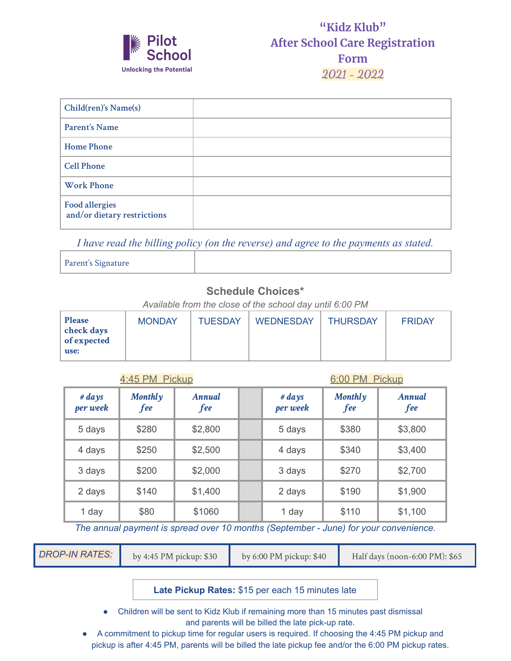

| Child(ren)'s Name(s)                                 |  |
|------------------------------------------------------|--|
| Parent's Name                                        |  |
| <b>Home Phone</b>                                    |  |
| <b>Cell Phone</b>                                    |  |
| <b>Work Phone</b>                                    |  |
| <b>Food allergies</b><br>and/or dietary restrictions |  |

*I have read the billing policy (on the reverse) and agree to the payments as stated.*

Parent's Signature

## **Schedule Choices\***

*Available from the close of the school day until 6:00 PM*

| <b>Please</b><br>check days<br>of expected<br>use: | <b>MONDAY</b> | <b>TUESDAY</b> | <b>WEDNESDAY</b> | <b>THURSDAY</b> | <b>FRIDAY</b> |
|----------------------------------------------------|---------------|----------------|------------------|-----------------|---------------|
|----------------------------------------------------|---------------|----------------|------------------|-----------------|---------------|

|--|

6:00 PM Pickup

| $# \, days$<br>per week | Monthlyy<br>fee | Annual<br><i>fee</i> | # $days$<br>per week | Monthlyy<br>fee | Annual<br>fee |
|-------------------------|-----------------|----------------------|----------------------|-----------------|---------------|
| 5 days                  | \$280           | \$2,800              | 5 days               | \$380           | \$3,800       |
| 4 days                  | \$250           | \$2,500              | 4 days               | \$340           | \$3,400       |
| 3 days                  | \$200           | \$2,000              | 3 days               | \$270           | \$2,700       |
| 2 days                  | \$140           | \$1,400              | 2 days               | \$190           | \$1,900       |
| 1 day                   | \$80            | \$1060               | 1 day                | \$110           | \$1,100       |

*The annual payment is spread over 10 months (September - June) for your convenience.*

|  | <b>DROP-IN RATES:</b> | by 4:45 PM pickup: \$30 | by $6:00 \text{ PM}$ pickup: \$40 | Half days (noon-6:00 PM): \$65 |
|--|-----------------------|-------------------------|-----------------------------------|--------------------------------|
|--|-----------------------|-------------------------|-----------------------------------|--------------------------------|

**Late Pickup Rates:** \$15 per each 15 minutes late

● Children will be sent to Kidz Klub if remaining more than 15 minutes past dismissal and parents will be billed the late pick-up rate.

● A commitment to pickup time for regular users is required. If choosing the 4:45 PM pickup and pickup is after 4:45 PM, parents will be billed the late pickup fee and/or the 6:00 PM pickup rates.